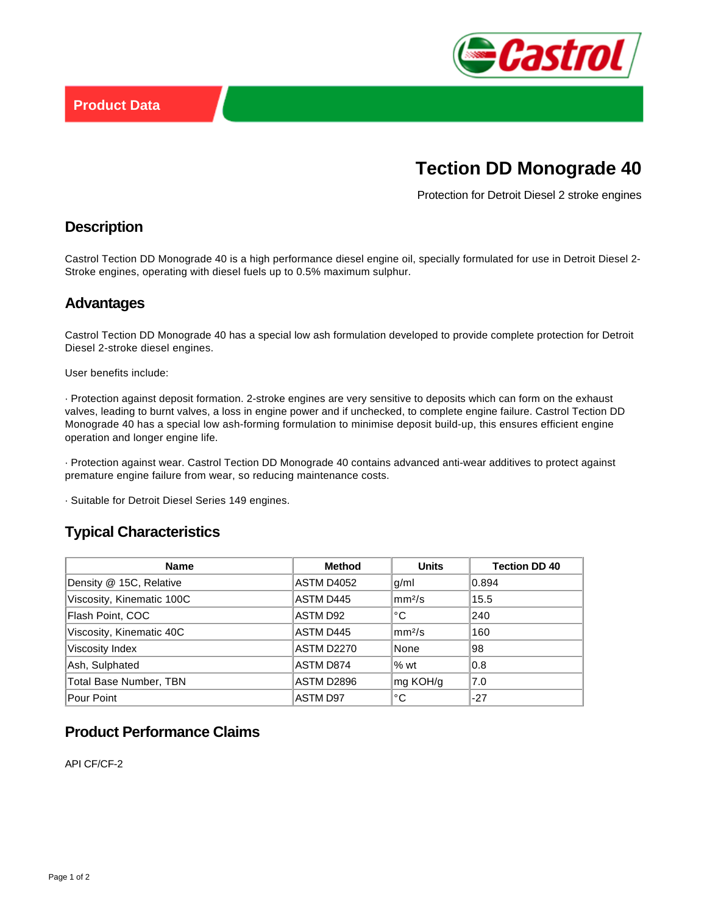

# **Tection DD Monograde 40**

Protection for Detroit Diesel 2 stroke engines

### **Description**

Castrol Tection DD Monograde 40 is a high performance diesel engine oil, specially formulated for use in Detroit Diesel 2- Stroke engines, operating with diesel fuels up to 0.5% maximum sulphur.

#### **Advantages**

Castrol Tection DD Monograde 40 has a special low ash formulation developed to provide complete protection for Detroit Diesel 2-stroke diesel engines.

User benefits include:

· Protection against deposit formation. 2-stroke engines are very sensitive to deposits which can form on the exhaust valves, leading to burnt valves, a loss in engine power and if unchecked, to complete engine failure. Castrol Tection DD Monograde 40 has a special low ash-forming formulation to minimise deposit build-up, this ensures efficient engine operation and longer engine life.

· Protection against wear. Castrol Tection DD Monograde 40 contains advanced anti-wear additives to protect against premature engine failure from wear, so reducing maintenance costs.

· Suitable for Detroit Diesel Series 149 engines.

## **Typical Characteristics**

| <b>Name</b>                   | <b>Method</b>     | <b>Units</b>       | <b>Tection DD 40</b> |
|-------------------------------|-------------------|--------------------|----------------------|
| Density @ 15C, Relative       | <b>ASTM D4052</b> | g/ml               | 0.894                |
| Viscosity, Kinematic 100C     | ASTM D445         | mm <sup>2</sup> /s | 15.5                 |
| Flash Point, COC              | ASTM D92          | °C                 | 240                  |
| Viscosity, Kinematic 40C      | ASTM D445         | mm <sup>2</sup> /s | 160                  |
| Viscosity Index               | <b>ASTM D2270</b> | None               | 98                   |
| Ash, Sulphated                | ASTM D874         | %wt                | 0.8                  |
| <b>Total Base Number, TBN</b> | ASTM D2896        | mg KOH/g           | 7.0                  |
| Pour Point                    | <b>ASTM D97</b>   | °C                 | $-27$                |

# **Product Performance Claims**

API CF/CF-2